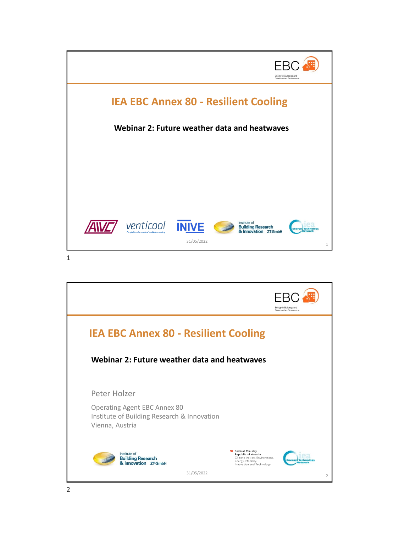

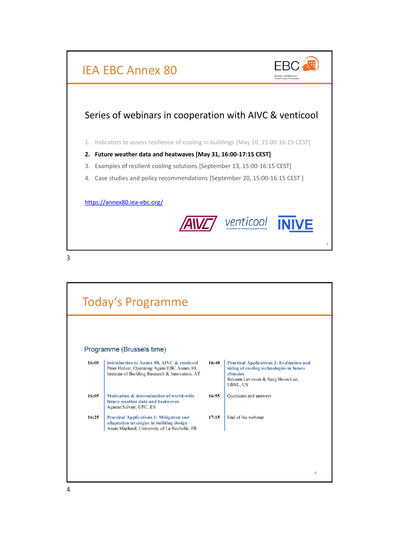

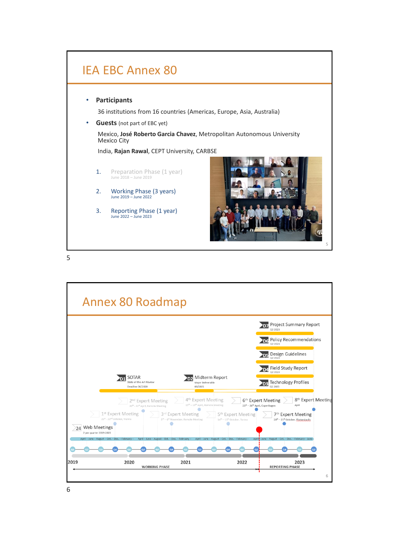

5

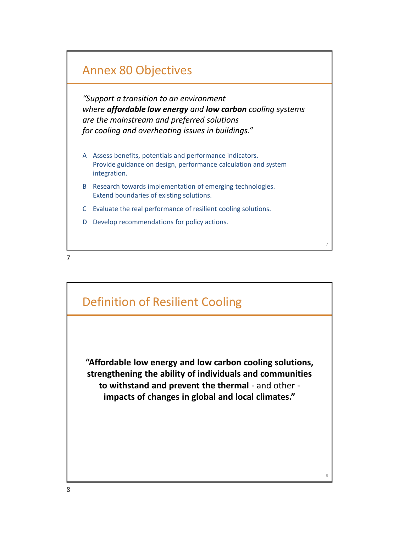## Annex 80 Objectives

*"Support a transition to an environment where affordable low energy and low carbon cooling systems are the mainstream and preferred solutions for cooling and overheating issues in buildings."*

- A Assess benefits, potentials and performance indicators. Provide guidance on design, performance calculation and system integration.
- B Research towards implementation of emerging technologies. Extend boundaries of existing solutions.
- C Evaluate the real performance of resilient cooling solutions.
- D Develop recommendations for policy actions.



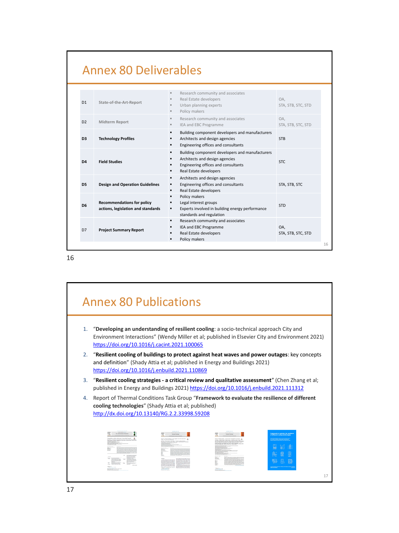## Annex 80 Deliverables

| D <sub>1</sub> | State-of-the-Art-Report                                                 | Research community and associates<br>$\rm{II}$<br>Real Estate developers<br>Urban planning experts<br>Policy makers                                | OA.<br>STA, STB, STC, STD |
|----------------|-------------------------------------------------------------------------|----------------------------------------------------------------------------------------------------------------------------------------------------|---------------------------|
| D2             | Midterm Report                                                          | Research community and associates<br>$\blacksquare$<br>IEA and EBC Programme<br>$\qquad \qquad \blacksquare$                                       | OA.<br>STA, STB, STC, STD |
| D <sub>3</sub> | <b>Technology Profiles</b>                                              | Building component developers and manufacturers<br>Architects and design agencies<br>Engineering offices and consultants                           | <b>STB</b>                |
| D4             | <b>Field Studies</b>                                                    | Building component developers and manufacturers<br>Architects and design agencies<br>Engineering offices and consultants<br>Real Estate developers | STC.                      |
| D <sub>5</sub> | <b>Design and Operation Guidelines</b>                                  | Architects and design agencies<br>$\blacksquare$<br>Engineering offices and consultants<br>Real Estate developers<br>٠                             | STA, STB, STC             |
| D <sub>6</sub> | <b>Recommendations for policy</b><br>actions, legislation and standards | Policy makers<br>Legal interest groups<br>Experts involved in building energy performance<br>standards and regulation                              | <b>STD</b>                |
| D7             | <b>Project Summary Report</b>                                           | Research community and associates<br>$\blacksquare$<br>IEA and EBC Programme<br>Real Estate developers<br>Policy makers                            | OA,<br>STA, STB, STC, STD |
|                |                                                                         |                                                                                                                                                    |                           |